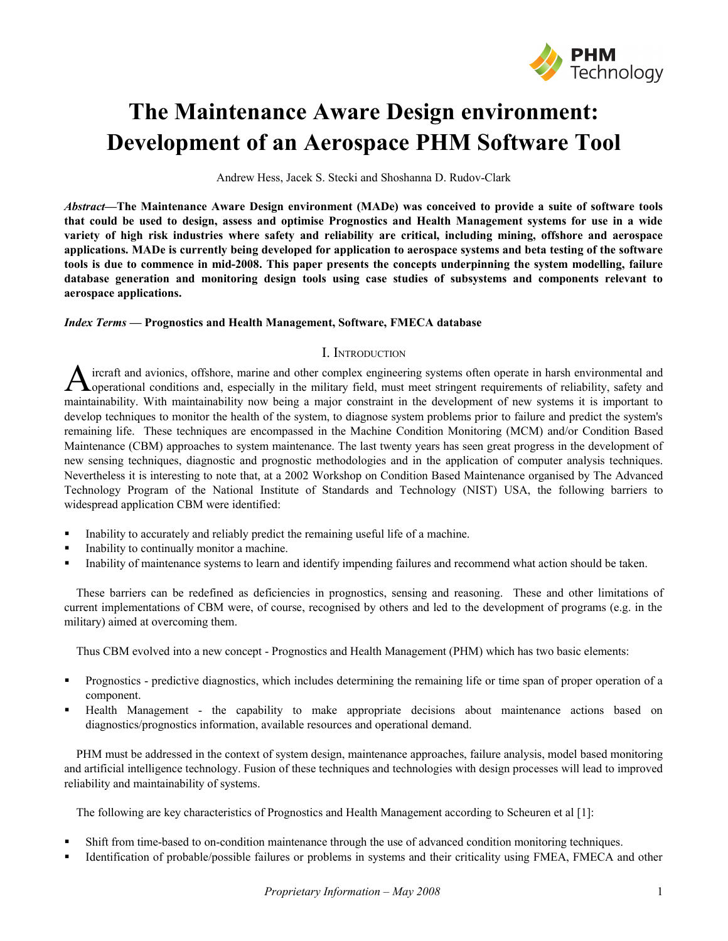

# **The Maintenance Aware Design environment: Development of an Aerospace PHM Software Tool**

Andrew Hess, Jacek S. Stecki and Shoshanna D. Rudov-Clark

*Abstract***—The Maintenance Aware Design environment (MADe) was conceived to provide a suite of software tools** that could be used to design, assess and optimise Prognostics and Health Management systems for use in a wide variety of high risk industries where safety and reliability are critical, including mining, offshore and aerospace applications. MADe is currently being developed for application to aerospace systems and beta testing of the software tools is due to commence in mid-2008. This paper presents the concepts underpinning the system modelling, failure **database generation and monitoring design tools using case studies of subsystems and components relevant to aerospace applications.**

## *Index Terms* **— Prognostics and Health Management, Software, FMECA database**

# I. INTRODUCTION

ircraft and avionics, offshore, marine and other complex engineering systems often operate in harsh environmental and **Loperational conditions and, especially in the military field, must meet stringent requirements of reliability, safety and** maintainability. With maintainability now being a major constraint in the development of new systems it is important to develop techniques to monitor the health of the system, to diagnose system problems prior to failure and predict the system's remaining life. These techniques are encompassed in the Machine Condition Monitoring (MCM) and/or Condition Based Maintenance (CBM) approaches to system maintenance. The last twenty years has seen great progress in the development of new sensing techniques, diagnostic and prognostic methodologies and in the application of computer analysis techniques. Nevertheless it is interesting to note that, at a 2002 Workshop on Condition Based Maintenance organised by The Advanced Technology Program of the National Institute of Standards and Technology (NIST) USA, the following barriers to widespread application CBM were identified: A

- Inability to accurately and reliably predict the remaining useful life of a machine.
- Inability to continually monitor a machine.
- Inability of maintenance systems to learn and identify impending failures and recommend what action should be taken.

These barriers can be redefined as deficiencies in prognostics, sensing and reasoning. These and other limitations of current implementations of CBM were, of course, recognised by others and led to the development of programs (e.g. in the military) aimed at overcoming them.

Thus CBM evolved into a new concept - Prognostics and Health Management (PHM) which has two basic elements:

- Prognostics predictive diagnostics, which includes determining the remaining life or time span of proper operation of a component.
- Health Management the capability to make appropriate decisions about maintenance actions based on diagnostics/prognostics information, available resources and operational demand.

PHM must be addressed in the context of system design, maintenance approaches, failure analysis, model based monitoring and artificial intelligence technology. Fusion of these techniques and technologies with design processes will lead to improved reliability and maintainability of systems.

The following are key characteristics of Prognostics and Health Management according to Scheuren et al [1]:

- Shift from time-based to on-condition maintenance through the use of advanced condition monitoring techniques.
- Identification of probable/possible failures or problems in systems and their criticality using FMEA, FMECA and other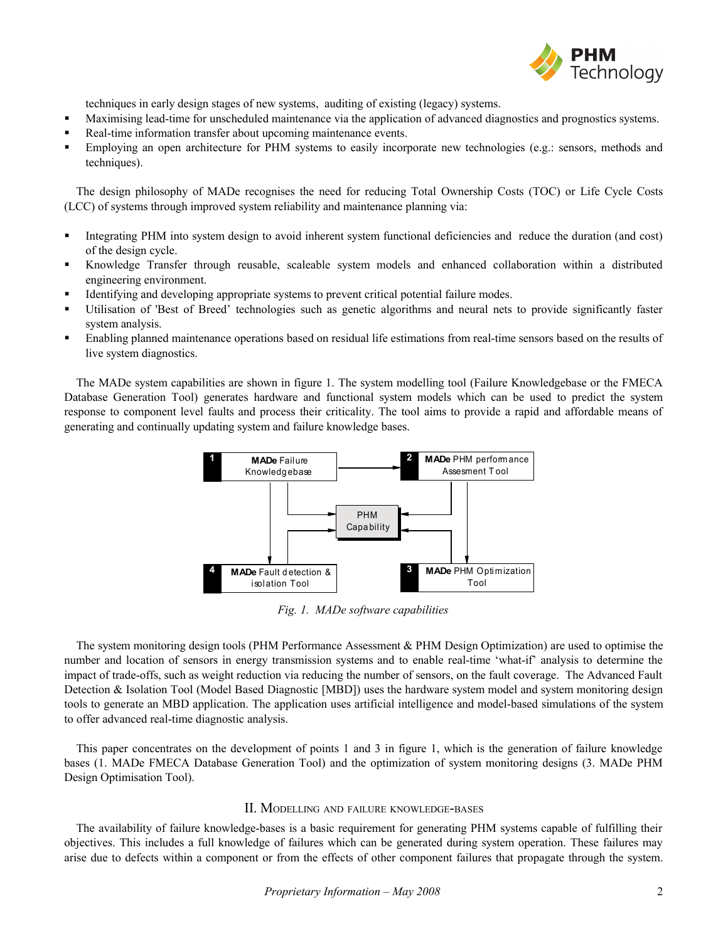

techniques in early design stages of new systems, auditing of existing (legacy) systems.

- Maximising lead-time for unscheduled maintenance via the application of advanced diagnostics and prognostics systems.
- Real-time information transfer about upcoming maintenance events.
- Employing an open architecture for PHM systems to easily incorporate new technologies (e.g.: sensors, methods and techniques).

The design philosophy of MADe recognises the need for reducing Total Ownership Costs (TOC) or Life Cycle Costs (LCC) of systems through improved system reliability and maintenance planning via:

- Integrating PHM into system design to avoid inherent system functional deficiencies and reduce the duration (and cost) of the design cycle.
- Knowledge Transfer through reusable, scaleable system models and enhanced collaboration within a distributed engineering environment.
- Identifying and developing appropriate systems to prevent critical potential failure modes.
- Utilisation of 'Best of Breed' technologies such as genetic algorithms and neural nets to provide significantly faster system analysis.
- Enabling planned maintenance operations based on residual life estimations from real-time sensors based on the results of live system diagnostics.

The MADe system capabilities are shown in figure 1. The system modelling tool (Failure Knowledgebase or the FMECA Database Generation Tool) generates hardware and functional system models which can be used to predict the system response to component level faults and process their criticality. The tool aims to provide a rapid and affordable means of generating and continually updating system and failure knowledge bases.



*Fig. 1. MADe software capabilities*

The system monitoring design tools (PHM Performance Assessment & PHM Design Optimization) are used to optimise the number and location of sensors in energy transmission systems and to enable real-time 'what-if' analysis to determine the impact of trade-offs, such as weight reduction via reducing the number of sensors, on the fault coverage. The Advanced Fault Detection & Isolation Tool (Model Based Diagnostic [MBD]) uses the hardware system model and system monitoring design tools to generate an MBD application. The application uses artificial intelligence and model-based simulations of the system to offer advanced real-time diagnostic analysis.

This paper concentrates on the development of points 1 and 3 in figure 1, which is the generation of failure knowledge bases (1. MADe FMECA Database Generation Tool) and the optimization of system monitoring designs (3. MADe PHM Design Optimisation Tool).

## II. MODELLING AND FAILURE KNOWLEDGE-BASES

The availability of failure knowledge-bases is a basic requirement for generating PHM systems capable of fulfilling their objectives. This includes a full knowledge of failures which can be generated during system operation. These failures may arise due to defects within a component or from the effects of other component failures that propagate through the system.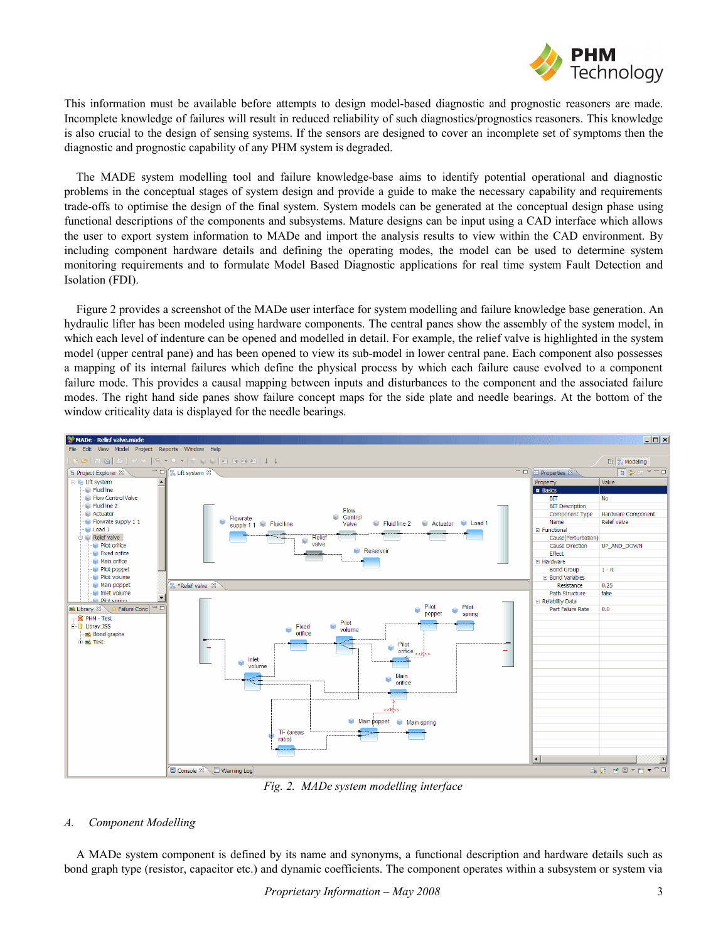

This information must be available before attempts to design model-based diagnostic and prognostic reasoners are made. Incomplete knowledge of failures will result in reduced reliability of such diagnostics/prognostics reasoners. This knowledge is also crucial to the design of sensing systems. If the sensors are designed to cover an incomplete set of symptoms then the diagnostic and prognostic capability of any PHM system is degraded.

The MADE system modelling tool and failure knowledge-base aims to identify potential operational and diagnostic problems in the conceptual stages of system design and provide a guide to make the necessary capability and requirements trade-offs to optimise the design of the final system. System models can be generated at the conceptual design phase using functional descriptions of the components and subsystems. Mature designs can be input using a CAD interface which allows the user to export system information to MADe and import the analysis results to view within the CAD environment. By including component hardware details and defining the operating modes, the model can be used to determine system monitoring requirements and to formulate Model Based Diagnostic applications for real time system Fault Detection and Isolation (FDI).

Figure 2 provides a screenshot of the MADe user interface for system modelling and failure knowledge base generation. An hydraulic lifter has been modeled using hardware components. The central panes show the assembly of the system model, in which each level of indenture can be opened and modelled in detail. For example, the relief valve is highlighted in the system model (upper central pane) and has been opened to view its sub-model in lower central pane. Each component also possesses a mapping of its internal failures which define the physical process by which each failure cause evolved to a component failure mode. This provides a causal mapping between inputs and disturbances to the component and the associated failure modes. The right hand side panes show failure concept maps for the side plate and needle bearings. At the bottom of the window criticality data is displayed for the needle bearings.



*Fig. 2. MADe system modelling interface*

## *A. Component Modelling*

A MADe system component is defined by its name and synonyms, a functional description and hardware details such as bond graph type (resistor, capacitor etc.) and dynamic coefficients. The component operates within a subsystem or system via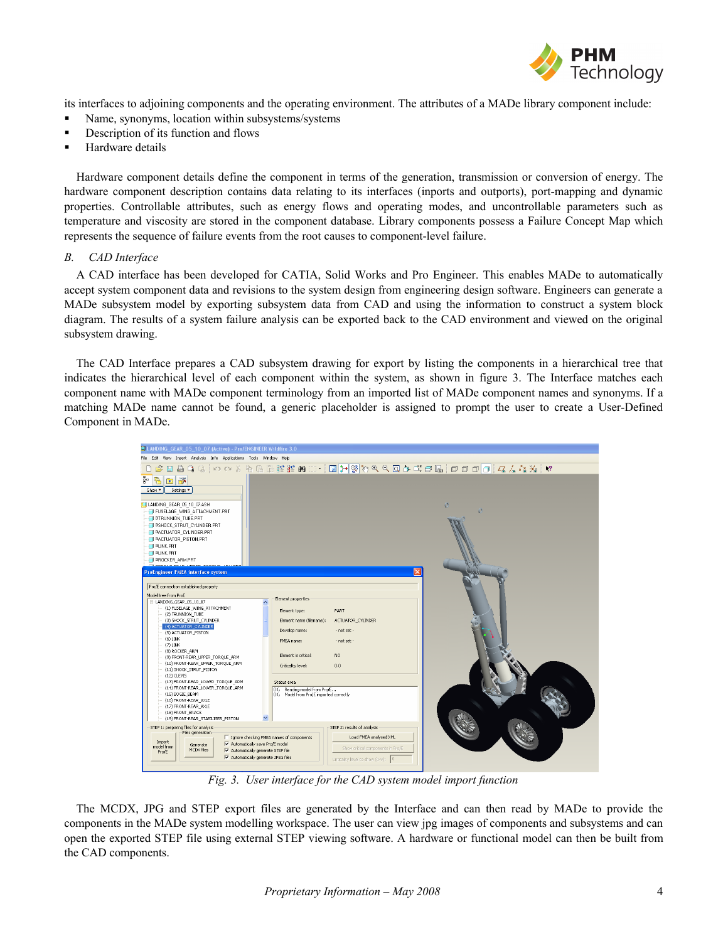

its interfaces to adjoining components and the operating environment. The attributes of a MADe library component include:

- Name, synonyms, location within subsystems/systems
- **•** Description of its function and flows
- Hardware details

Hardware component details define the component in terms of the generation, transmission or conversion of energy. The hardware component description contains data relating to its interfaces (inports and outports), port-mapping and dynamic properties. Controllable attributes, such as energy flows and operating modes, and uncontrollable parameters such as temperature and viscosity are stored in the component database. Library components possess a Failure Concept Map which represents the sequence of failure events from the root causes to component-level failure.

### *B. CAD Interface*

A CAD interface has been developed for CATIA, Solid Works and Pro Engineer. This enables MADe to automatically accept system component data and revisions to the system design from engineering design software. Engineers can generate a MADe subsystem model by exporting subsystem data from CAD and using the information to construct a system block diagram. The results of a system failure analysis can be exported back to the CAD environment and viewed on the original subsystem drawing.

The CAD Interface prepares a CAD subsystem drawing for export by listing the components in a hierarchical tree that indicates the hierarchical level of each component within the system, as shown in figure 3. The Interface matches each component name with MADe component terminology from an imported list of MADe component names and synonyms. If a matching MADe name cannot be found, a generic placeholder is assigned to prompt the user to create a User-Defined Component in MADe.



*Fig. 3. User interface for the CAD system model import function*

The MCDX, JPG and STEP export files are generated by the Interface and can then read by MADe to provide the components in the MADe system modelling workspace. The user can view jpg images of components and subsystems and can open the exported STEP file using external STEP viewing software. A hardware or functional model can then be built from the CAD components.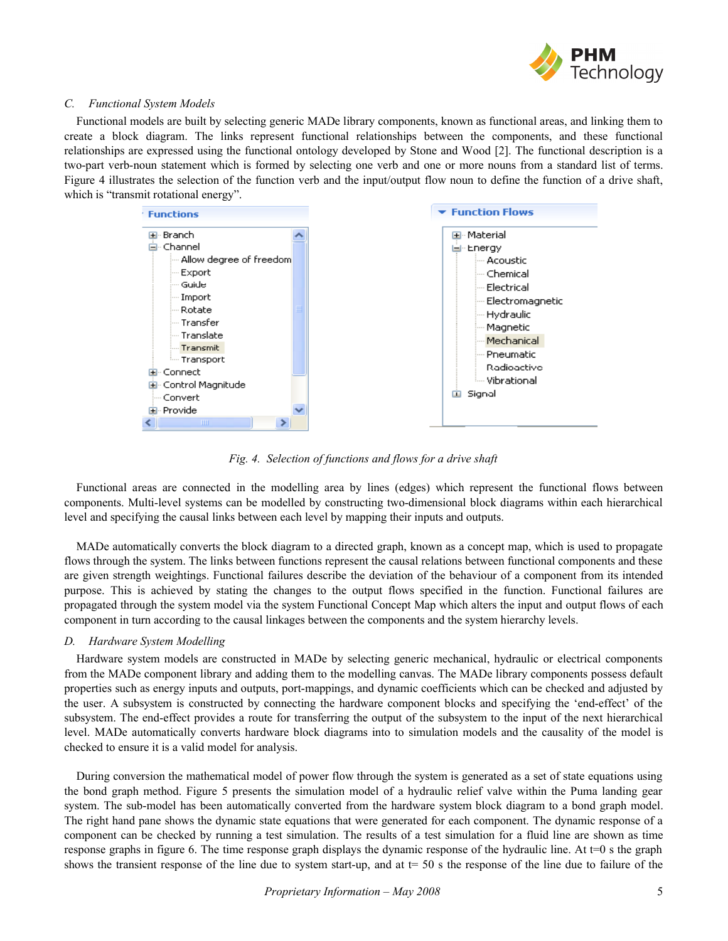

## *C. Functional System Models*

Functional models are built by selecting generic MADe library components, known as functional areas, and linking them to create a block diagram. The links represent functional relationships between the components, and these functional relationships are expressed using the functional ontology developed by Stone and Wood [2]. The functional description is a two-part verb-noun statement which is formed by selecting one verb and one or more nouns from a standard list of terms. Figure 4 illustrates the selection of the function verb and the input/output flow noun to define the function of a drive shaft, which is "transmit rotational energy".



*Fig. 4. Selection of functions and flows for a drive shaft*

Functional areas are connected in the modelling area by lines (edges) which represent the functional flows between components. Multi-level systems can be modelled by constructing two-dimensional block diagrams within each hierarchical level and specifying the causal links between each level by mapping their inputs and outputs.

MADe automatically converts the block diagram to a directed graph, known as a concept map, which is used to propagate flows through the system. The links between functions represent the causal relations between functional components and these are given strength weightings. Functional failures describe the deviation of the behaviour of a component from its intended purpose. This is achieved by stating the changes to the output flows specified in the function. Functional failures are propagated through the system model via the system Functional Concept Map which alters the input and output flows of each component in turn according to the causal linkages between the components and the system hierarchy levels.

### *D. Hardware System Modelling*

Hardware system models are constructed in MADe by selecting generic mechanical, hydraulic or electrical components from the MADe component library and adding them to the modelling canvas. The MADe library components possess default properties such as energy inputs and outputs, port-mappings, and dynamic coefficients which can be checked and adjusted by the user. A subsystem is constructed by connecting the hardware component blocks and specifying the 'end-effect' of the subsystem. The end-effect provides a route for transferring the output of the subsystem to the input of the next hierarchical level. MADe automatically converts hardware block diagrams into to simulation models and the causality of the model is checked to ensure it is a valid model for analysis.

During conversion the mathematical model of power flow through the system is generated as a set of state equations using the bond graph method. Figure 5 presents the simulation model of a hydraulic relief valve within the Puma landing gear system. The sub-model has been automatically converted from the hardware system block diagram to a bond graph model. The right hand pane shows the dynamic state equations that were generated for each component. The dynamic response of a component can be checked by running a test simulation. The results of a test simulation for a fluid line are shown as time response graphs in figure 6. The time response graph displays the dynamic response of the hydraulic line. At  $t=0$  s the graph shows the transient response of the line due to system start-up, and at  $t=50$  s the response of the line due to failure of the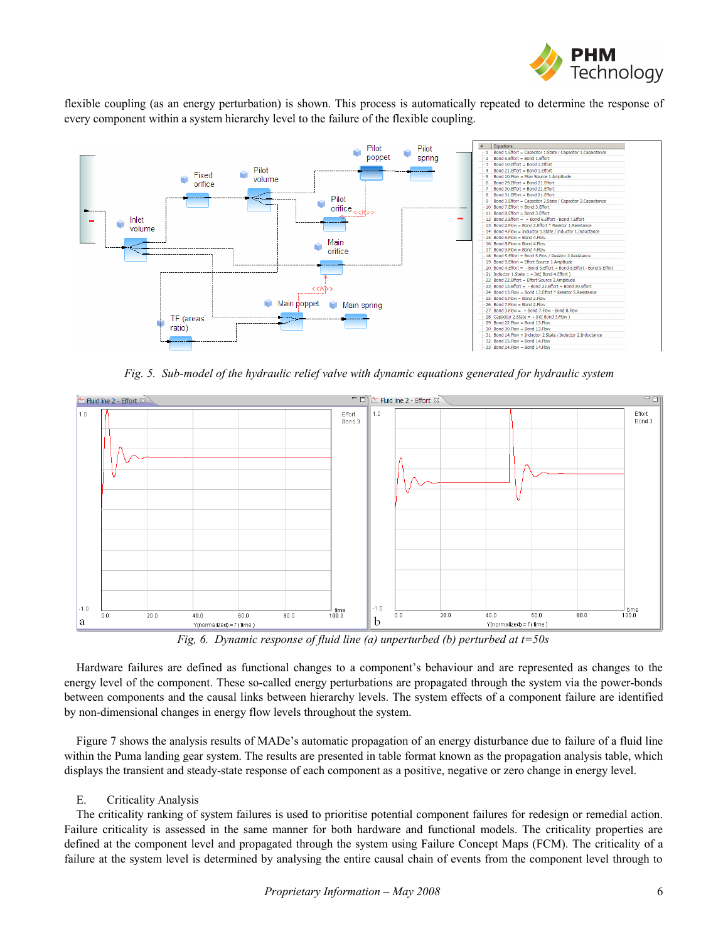

flexible coupling (as an energy perturbation) is shown. This process is automatically repeated to determine the response of every component within a system hierarchy level to the failure of the flexible coupling.



*Fig. 5. Sub-model of the hydraulic relief valve with dynamic equations generated for hydraulic system*



*Fig, 6. Dynamic response of fluid line (a) unperturbed (b) perturbed at t=50s*

Hardware failures are defined as functional changes to a component's behaviour and are represented as changes to the energy level of the component. These so-called energy perturbations are propagated through the system via the power-bonds between components and the causal links between hierarchy levels. The system effects of a component failure are identified by non-dimensional changes in energy flow levels throughout the system.

Figure 7 shows the analysis results of MADe's automatic propagation of an energy disturbance due to failure of a fluid line within the Puma landing gear system. The results are presented in table format known as the propagation analysis table, which displays the transient and steady-state response of each component as a positive, negative or zero change in energy level.

## E. Criticality Analysis

The criticality ranking of system failures is used to prioritise potential component failures for redesign or remedial action. Failure criticality is assessed in the same manner for both hardware and functional models. The criticality properties are defined at the component level and propagated through the system using Failure Concept Maps (FCM). The criticality of a failure at the system level is determined by analysing the entire causal chain of events from the component level through to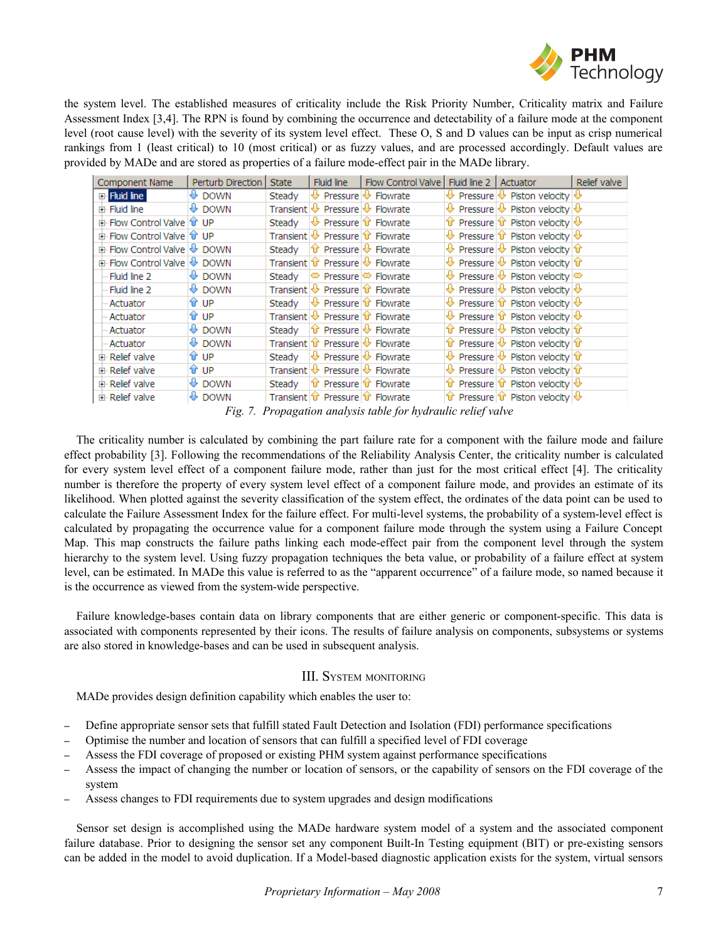

the system level. The established measures of criticality include the Risk Priority Number, Criticality matrix and Failure Assessment Index [3,4]. The RPN is found by combining the occurrence and detectability of a failure mode at the component level (root cause level) with the severity of its system level effect. These O, S and D values can be input as crisp numerical rankings from 1 (least critical) to 10 (most critical) or as fuzzy values, and are processed accordingly. Default values are provided by MADe and are stored as properties of a failure mode-effect pair in the MADe library.

| Component Name                            | Perturb Direction            | State  | Fluid line                                                         | Flow Control Valve                                                |                                                                 | Fluid line 2 Actuator                                                                               | Relief valve |
|-------------------------------------------|------------------------------|--------|--------------------------------------------------------------------|-------------------------------------------------------------------|-----------------------------------------------------------------|-----------------------------------------------------------------------------------------------------|--------------|
| <b>E</b> -Fluid line                      | $\bigoplus$ DOWN             | Steady | $\mathbb U$ Pressure $\mathbb U$ Flowrate                          |                                                                   |                                                                 | $\bigoplus$ Pressure $\bigotimes$ Piston velocity $\bigotimes$                                      |              |
| 亩 Fluid line                              | $\bigoplus$ DOWN             |        | Transient $\vee$ Pressure $\vee$ Flowrate                          |                                                                   |                                                                 | $\bigoplus$ Pressure $\bigotimes$ Piston velocity $\bigotimes$                                      |              |
| 由 Flow Control Valve T UP                 |                              | Steady | $\biguplus$ Pressure $\biguplus$ Flowrate                          |                                                                   |                                                                 | The Pressure $\hat{u}$ Piston velocity $\big \hat{v}\big $                                          |              |
| 面 Flow Control Valve <b>f</b> UP          |                              |        | Transient $\vee$ Pressure $\hat{u}$ Flowrate                       |                                                                   |                                                                 | $\bigoplus$ Pressure $\bigcirc$ Piston velocity $\bigcirc$                                          |              |
| <b>E</b> Flow Control Valve <b>↓</b> DOWN |                              |        |                                                                    | Steady $ \hat{u} $ Pressure $ \hat{v} $ Flowrate                  |                                                                 | $\bigoplus$ Pressure $\bigcirc$ Piston velocity $\bigcirc$                                          |              |
| <b>E</b> Flow Control Valve <b>↓</b> DOWN |                              |        | Transient $\mathbf{\hat{v}}$ Pressure $\mathbf{\hat{v}}$ Flowrate  |                                                                   |                                                                 | $\overline{\mathbb{Q}}$ Pressure $\overline{\mathbb{Q}}$ Piston velocity $\hat{\mathbb{T}}$         |              |
| -- Fluid line 2                           | II DOWN                      |        | Steady $\bigotimes$ Pressure $\bigotimes$ Flowrate                 |                                                                   |                                                                 | $\bigcirc$ Pressure $\bigcirc$ Piston velocity $\bigcirc$                                           |              |
| - Fluid line 2                            | $\bigcirc$ DOWN              |        | Transient $\vee$ Pressure $\hat{u}$ Flowrate                       |                                                                   |                                                                 | $\overline{\mathbb{Q}}$ Pressure $\overline{\mathbb{Q}}$ Piston velocity $\overline{\mathbb{Q}}$    |              |
| - Actuator                                | û°∪P                         |        | Steady $\forall$ Pressure $\hat{v}$ Flowrate                       |                                                                   |                                                                 | $\bigoplus$ Pressure $\mathbf{\hat{u}}$ Piston velocity $\bigoplus$                                 |              |
| - Actuator                                | û°∪P                         |        | Transient ↓ Pressure û Flowrate                                    |                                                                   |                                                                 | $\bigoplus$ Pressure $\mathbf{\hat{u}}$ Piston velocity $\bigoplus$                                 |              |
| - Actuator                                | $\bigoplus$ DOWN             |        | Steady $ \hat{\mathbf{u}} $ Pressure $ \hat{\mathbf{v}} $ Flowrate |                                                                   |                                                                 | The Pressure $\bigcirc$ Piston velocity $\bigcirc$                                                  |              |
| - Actuator                                | $\overline{\mathbb{P}}$ DOWN |        | Transient $\hat{v}$ Pressure $\psi$ Flowrate                       |                                                                   |                                                                 | $\mathbf{\hat{u}}$ Pressure $\mathbf{\hat{v}}$ Piston velocity $\mathbf{\hat{u}}$                   |              |
| in Relief valve                           | ûr⊮                          |        | Steady $\forall$ Pressure $\forall$ Flowrate                       |                                                                   |                                                                 | $\bigcirc$ Pressure $\bigcirc$ Piston velocity $\bigcirc$                                           |              |
| 由 Relief valve                            | ûr                           |        | Transient $\bigcirc$ Pressure $\bigcirc$ Flowrate                  |                                                                   |                                                                 | $\overline{\mathbb{Q}}$ Pressure $\overline{\mathbb{Q}}$ Piston velocity $ \mathbf{\hat{u}}\rangle$ |              |
| 白 Relief valve                            | $\bigoplus$ DOWN             |        | Steady $\ \mathbf{u}\ $ Pressure $\ \mathbf{u}\ $ Flowrate         |                                                                   |                                                                 | The Pressure $ \mathbf{\hat{u}} $ Piston velocity $ \mathbf{\hat{v}} $                              |              |
| 由 Relief valve                            | $\overline{\mathbb{V}}$ DOWN |        |                                                                    | Transient $\hat{v}$ Pressure $\hat{v}$ Flowrate<br><del>. .</del> | $\mathbf{1} \cdot \mathbf{1} \cdot \mathbf{1} \cdot \mathbf{1}$ | The Pressure $ \mathbf{\hat{u}} $ Piston velocity $ \mathbf{\hat{v}} $                              |              |

*Fig. 7. Propagation analysis table for hydraulic relief valve*

The criticality number is calculated by combining the part failure rate for a component with the failure mode and failure effect probability [3]. Following the recommendations of the Reliability Analysis Center, the criticality number is calculated for every system level effect of a component failure mode, rather than just for the most critical effect [4]. The criticality number is therefore the property of every system level effect of a component failure mode, and provides an estimate of its likelihood. When plotted against the severity classification of the system effect, the ordinates of the data point can be used to calculate the Failure Assessment Index for the failure effect. For multi-level systems, the probability of a system-level effect is calculated by propagating the occurrence value for a component failure mode through the system using a Failure Concept Map. This map constructs the failure paths linking each mode-effect pair from the component level through the system hierarchy to the system level. Using fuzzy propagation techniques the beta value, or probability of a failure effect at system level, can be estimated. In MADe this value is referred to as the "apparent occurrence" of a failure mode, so named because it is the occurrence as viewed from the system-wide perspective.

Failure knowledge-bases contain data on library components that are either generic or component-specific. This data is associated with components represented by their icons. The results of failure analysis on components, subsystems or systems are also stored in knowledge-bases and can be used in subsequent analysis.

# III. SYSTEM MONITORING

MADe provides design definition capability which enables the user to:

- Define appropriate sensor sets that fulfill stated Fault Detection and Isolation (FDI) performance specifications
- Optimise the number and location of sensors that can fulfill a specified level of FDI coverage
- Assess the FDI coverage of proposed or existing PHM system against performance specifications
- Assess the impact of changing the number or location of sensors, or the capability of sensors on the FDI coverage of the system
- Assess changes to FDI requirements due to system upgrades and design modifications

Sensor set design is accomplished using the MADe hardware system model of a system and the associated component failure database. Prior to designing the sensor set any component Built-In Testing equipment (BIT) or pre-existing sensors can be added in the model to avoid duplication. If a Model-based diagnostic application exists for the system, virtual sensors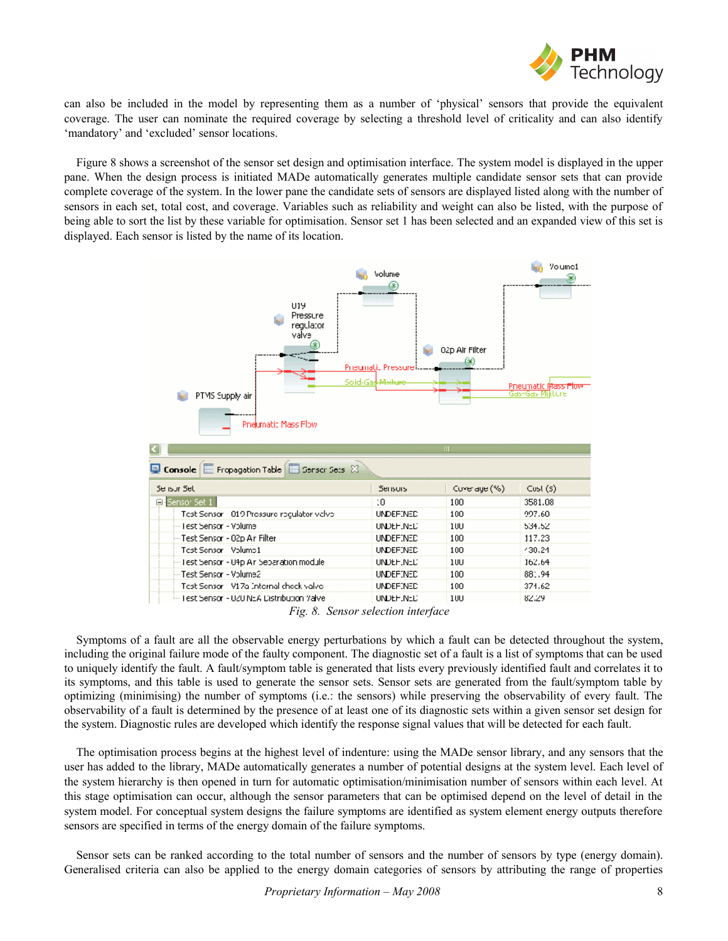

can also be included in the model by representing them as a number of 'physical' sensors that provide the equivalent coverage. The user can nominate the required coverage by selecting a threshold level of criticality and can also identify 'mandatory' and 'excluded' sensor locations.

Figure 8 shows a screenshot of the sensor set design and optimisation interface. The system model is displayed in the upper pane. When the design process is initiated MADe automatically generates multiple candidate sensor sets that can provide complete coverage of the system. In the lower pane the candidate sets of sensors are displayed listed along with the number of sensors in each set, total cost, and coverage. Variables such as reliability and weight can also be listed, with the purpose of being able to sort the list by these variable for optimisation. Sensor set 1 has been selected and an expanded view of this set is displayed. Each sensor is listed by the name of its location.

| U19<br>Pressure<br>regulator<br>valve<br>PTMS Supply air<br>Pnelimatic Mass Flow                                                                   | <b>Volume</b><br>⊛<br>Prisunali, Pressurei<br>Soid-Gas Mature | 02p Air Filter<br>68)<br>Ш | Youmc1<br><b>Prieumatic Mass Plow</b><br>Gas-Gas Mikture |  |  |  |  |  |  |
|----------------------------------------------------------------------------------------------------------------------------------------------------|---------------------------------------------------------------|----------------------------|----------------------------------------------------------|--|--|--|--|--|--|
| $\overline{\mathbf{D}}$ Console $\vert\overline{\mathbf{E}}\vert$ Fropagation Table $\vert\overline{\mathbf{E}}\vert$ Sensor Sets $\,\mathbb{X}\,$ |                                                               |                            |                                                          |  |  |  |  |  |  |
| Se isor Set                                                                                                                                        | Serisors                                                      | Coverage (%)               | Cust(5)                                                  |  |  |  |  |  |  |
| Sensor Set 1                                                                                                                                       | 10                                                            | 100                        | 3581.08                                                  |  |  |  |  |  |  |
| Test Sensor 019 Prossure reculator velve                                                                                                           | UNDEFINED                                                     | 100                        | 997.60                                                   |  |  |  |  |  |  |
| -- Fest Sensor - Volume                                                                                                                            | UNDEH.NED                                                     | 100                        | 534.52                                                   |  |  |  |  |  |  |
| -- Test Sensor - 02p Ar Filter                                                                                                                     | UNDEFINED                                                     | 100                        | 117.23                                                   |  |  |  |  |  |  |
| Test Sensor Volume1                                                                                                                                | UNDEFINED                                                     | 100                        | 430,24                                                   |  |  |  |  |  |  |
| - Test Sensor - U4p Air Separation module                                                                                                          | UNDEH.NED                                                     | 100                        | 162.64                                                   |  |  |  |  |  |  |
| -Test Sensor - Volume2                                                                                                                             | <b>UNDEFINED</b>                                              | 100                        | 881.94                                                   |  |  |  |  |  |  |
| Test Sensor V17a Internal check valve                                                                                                              | UNDEFINED                                                     | 100                        | 374.62                                                   |  |  |  |  |  |  |
| <sup>i…</sup> Test Sensor - UZU N±A Distribution Valvel                                                                                            | UNDEH.NED                                                     | 10U                        | 82.29                                                    |  |  |  |  |  |  |
| $\mathbf{r}$ $\alpha$                                                                                                                              | $\sim$ $\sim$                                                 |                            |                                                          |  |  |  |  |  |  |

*Fig. 8. Sensor selection interface*

Symptoms of a fault are all the observable energy perturbations by which a fault can be detected throughout the system, including the original failure mode of the faulty component. The diagnostic set of a fault is a list of symptoms that can be used to uniquely identify the fault. A fault/symptom table is generated that lists every previously identified fault and correlates it to its symptoms, and this table is used to generate the sensor sets. Sensor sets are generated from the fault/symptom table by optimizing (minimising) the number of symptoms (i.e.: the sensors) while preserving the observability of every fault. The observability of a fault is determined by the presence of at least one of its diagnostic sets within a given sensor set design for the system. Diagnostic rules are developed which identify the response signal values that will be detected for each fault.

The optimisation process begins at the highest level of indenture: using the MADe sensor library, and any sensors that the user has added to the library, MADe automatically generates a number of potential designs at the system level. Each level of the system hierarchy is then opened in turn for automatic optimisation/minimisation number of sensors within each level. At this stage optimisation can occur, although the sensor parameters that can be optimised depend on the level of detail in the system model. For conceptual system designs the failure symptoms are identified as system element energy outputs therefore sensors are specified in terms of the energy domain of the failure symptoms.

Sensor sets can be ranked according to the total number of sensors and the number of sensors by type (energy domain). Generalised criteria can also be applied to the energy domain categories of sensors by attributing the range of properties